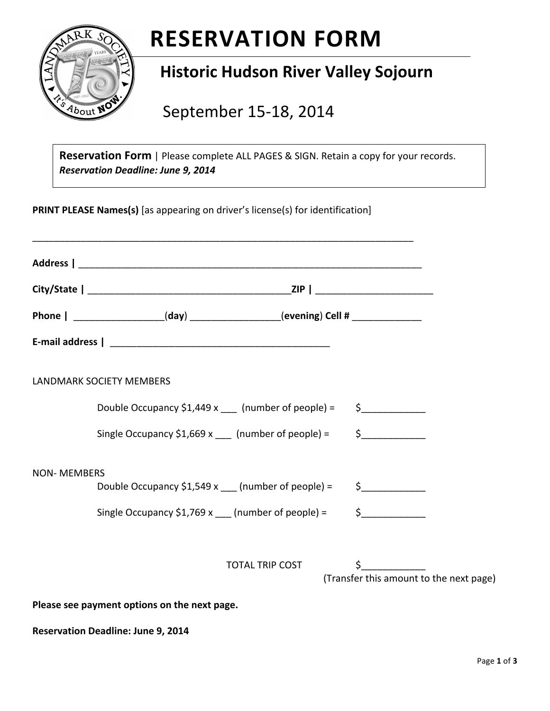

# **RESERVATION
FORM**

# **Historic
Hudson
River
Valley
Sojourn**

September
15‐18,
2014

Reservation Form | Please complete ALL PAGES & SIGN. Retain a copy for your records. *Reservation
Deadline:
June
9,
2014* 

**PRINT PLEASE Names(s)** [as appearing on driver's license(s) for identification]

|                    | Phone   ___________________(day) _________________(evening) Cell # _____________ |                                                          |
|--------------------|----------------------------------------------------------------------------------|----------------------------------------------------------|
|                    |                                                                                  |                                                          |
|                    | <b>LANDMARK SOCIETY MEMBERS</b>                                                  |                                                          |
|                    | Double Occupancy \$1,449 x ___ (number of people) = $\qquad$ \$                  |                                                          |
|                    | Single Occupancy \$1,669 x $\frac{1}{2}$ (number of people) =                    | $\frac{1}{2}$                                            |
| <b>NON-MEMBERS</b> | Double Occupancy \$1,549 x __ (number of people) = $\qquad$ \$                   |                                                          |
|                    | Single Occupancy $$1,769 x$ (number of people) =                                 | $\frac{1}{2}$                                            |
|                    |                                                                                  |                                                          |
|                    | TOTAL TRIP COST                                                                  | $\frac{1}{2}$<br>(Transfer this amount to the next page) |

**Please
see
payment
options
on
the
next
page.**

Reservation Deadline: June 9, 2014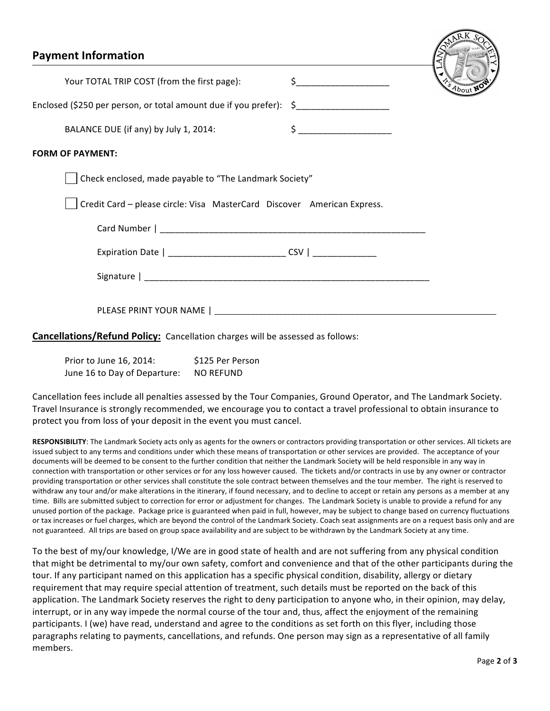| <b>Payment Information</b>                                                            |                                                           | Branch Sc |
|---------------------------------------------------------------------------------------|-----------------------------------------------------------|-----------|
| Your TOTAL TRIP COST (from the first page):                                           | $\mathsf{S}$ $\qquad \qquad$                              | About NO  |
| Enclosed (\$250 per person, or total amount due if you prefer): \$_________________   |                                                           |           |
| BALANCE DUE (if any) by July 1, 2014:                                                 | $\mathsf{S} \hspace{0.03in} \underbrace{\hspace{0.03in}}$ |           |
| <b>FORM OF PAYMENT:</b>                                                               |                                                           |           |
| Check enclosed, made payable to "The Landmark Society"                                |                                                           |           |
| Credit Card - please circle: Visa MasterCard Discover American Express.               |                                                           |           |
|                                                                                       |                                                           |           |
| Expiration Date   ____________________________ CSV   ___________________________      |                                                           |           |
|                                                                                       |                                                           |           |
|                                                                                       |                                                           |           |
| <b>Cancellations/Refund Policy:</b> Cancellation charges will be assessed as follows: |                                                           |           |

| Prior to June 16, 2014:      | \$125 Per Person |
|------------------------------|------------------|
| June 16 to Day of Departure: | <b>NO REFUND</b> |

Cancellation fees include all penalties assessed by the Tour Companies, Ground Operator, and The Landmark Society. Travel Insurance is strongly recommended, we encourage you to contact a travel professional to obtain insurance to protect
you
from
loss
of
your
deposit
in
the
event
you
must
cancel.

RESPONSIBILITY: The Landmark Society acts only as agents for the owners or contractors providing transportation or other services. All tickets are issued subject to any terms and conditions under which these means of transportation or other services are provided. The acceptance of your documents will be deemed to be consent to the further condition that neither the Landmark Society will be held responsible in any way in connection with transportation or other services or for any loss however caused. The tickets and/or contracts in use by any owner or contractor providing transportation or other services shall constitute the sole contract between themselves and the tour member. The right is reserved to withdraw any tour and/or make alterations in the itinerary, if found necessary, and to decline to accept or retain any persons as a member at any time. Bills are submitted subject to correction for error or adjustment for changes. The Landmark Society is unable to provide a refund for any unused portion of the package. Package price is guaranteed when paid in full, however, may be subject to change based on currency fluctuations or tax increases or fuel charges, which are beyond the control of the Landmark Society. Coach seat assignments are on a request basis only and are not guaranteed. All trips are based on group space availability and are subject to be withdrawn by the Landmark Society at any time.

To the best of my/our knowledge, I/We are in good state of health and are not suffering from any physical condition that might be detrimental to my/our own safety, comfort and convenience and that of the other participants during the tour. If any participant named on this application has a specific physical condition, disability, allergy or dietary requirement that may require special attention of treatment, such details must be reported on the back of this application. The Landmark Society reserves the right to deny participation to anyone who, in their opinion, may delay, interrupt, or in any way impede the normal course of the tour and, thus, affect the enjoyment of the remaining participants. I (we) have read, understand and agree to the conditions as set forth on this flyer, including those paragraphs relating to payments, cancellations, and refunds. One person may sign as a representative of all family members.